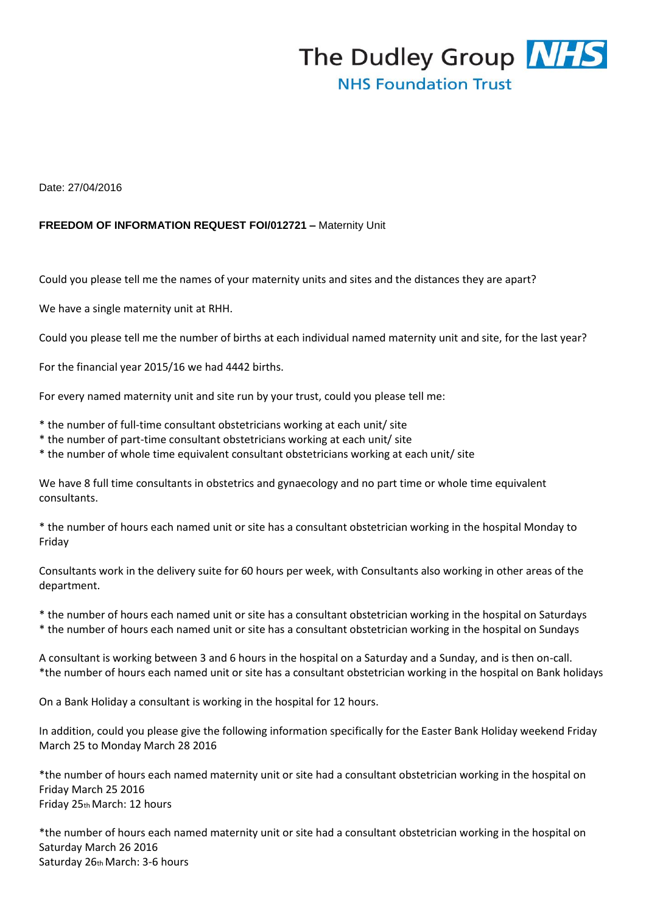

Date: 27/04/2016

## **FREEDOM OF INFORMATION REQUEST FOI/012721 –** Maternity Unit

Could you please tell me the names of your maternity units and sites and the distances they are apart?

We have a single maternity unit at RHH.

Could you please tell me the number of births at each individual named maternity unit and site, for the last year?

For the financial year 2015/16 we had 4442 births.

For every named maternity unit and site run by your trust, could you please tell me:

\* the number of full-time consultant obstetricians working at each unit/ site

- \* the number of part-time consultant obstetricians working at each unit/ site
- \* the number of whole time equivalent consultant obstetricians working at each unit/ site

We have 8 full time consultants in obstetrics and gynaecology and no part time or whole time equivalent consultants.

\* the number of hours each named unit or site has a consultant obstetrician working in the hospital Monday to Friday

Consultants work in the delivery suite for 60 hours per week, with Consultants also working in other areas of the department.

\* the number of hours each named unit or site has a consultant obstetrician working in the hospital on Saturdays \* the number of hours each named unit or site has a consultant obstetrician working in the hospital on Sundays

A consultant is working between 3 and 6 hours in the hospital on a Saturday and a Sunday, and is then on-call. \*the number of hours each named unit or site has a consultant obstetrician working in the hospital on Bank holidays

On a Bank Holiday a consultant is working in the hospital for 12 hours.

In addition, could you please give the following information specifically for the Easter Bank Holiday weekend Friday March 25 to Monday March 28 2016

\*the number of hours each named maternity unit or site had a consultant obstetrician working in the hospital on Friday March 25 2016 Friday 25th March: 12 hours

\*the number of hours each named maternity unit or site had a consultant obstetrician working in the hospital on Saturday March 26 2016 Saturday 26th March: 3-6 hours